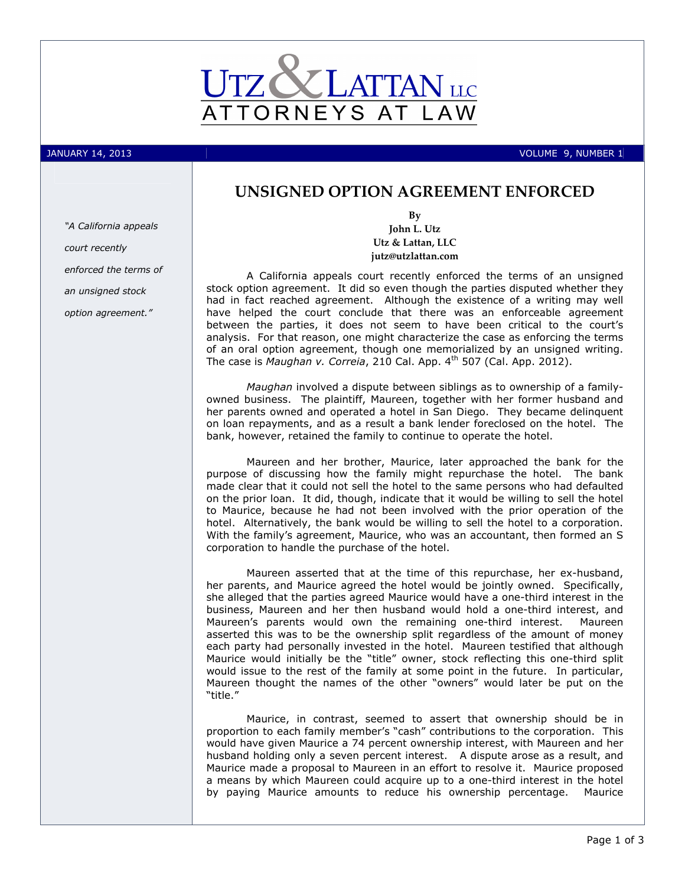

JANUARY 14, 2013 VOLUME 9, NUMBER 1

# UNSIGNED OPTION AGREEMENT ENFORCED

"A California appeals court recently enforced the terms of an unsigned stock option agreement."

By John L. Utz Utz & Lattan, LLC jutz@utzlattan.com

A California appeals court recently enforced the terms of an unsigned stock option agreement. It did so even though the parties disputed whether they had in fact reached agreement. Although the existence of a writing may well have helped the court conclude that there was an enforceable agreement between the parties, it does not seem to have been critical to the court's analysis. For that reason, one might characterize the case as enforcing the terms of an oral option agreement, though one memorialized by an unsigned writing. The case is Maughan v. Correia, 210 Cal. App.  $4<sup>th</sup>$  507 (Cal. App. 2012).

Maughan involved a dispute between siblings as to ownership of a familyowned business. The plaintiff, Maureen, together with her former husband and her parents owned and operated a hotel in San Diego. They became delinquent on loan repayments, and as a result a bank lender foreclosed on the hotel. The bank, however, retained the family to continue to operate the hotel.

Maureen and her brother, Maurice, later approached the bank for the purpose of discussing how the family might repurchase the hotel. The bank made clear that it could not sell the hotel to the same persons who had defaulted on the prior loan. It did, though, indicate that it would be willing to sell the hotel to Maurice, because he had not been involved with the prior operation of the hotel. Alternatively, the bank would be willing to sell the hotel to a corporation. With the family's agreement, Maurice, who was an accountant, then formed an S corporation to handle the purchase of the hotel.

Maureen asserted that at the time of this repurchase, her ex-husband, her parents, and Maurice agreed the hotel would be jointly owned. Specifically, she alleged that the parties agreed Maurice would have a one-third interest in the business, Maureen and her then husband would hold a one-third interest, and Maureen's parents would own the remaining one-third interest. Maureen asserted this was to be the ownership split regardless of the amount of money each party had personally invested in the hotel. Maureen testified that although Maurice would initially be the "title" owner, stock reflecting this one-third split would issue to the rest of the family at some point in the future. In particular, Maureen thought the names of the other "owners" would later be put on the "title."

Maurice, in contrast, seemed to assert that ownership should be in proportion to each family member's "cash" contributions to the corporation. This would have given Maurice a 74 percent ownership interest, with Maureen and her husband holding only a seven percent interest. A dispute arose as a result, and Maurice made a proposal to Maureen in an effort to resolve it. Maurice proposed a means by which Maureen could acquire up to a one-third interest in the hotel by paying Maurice amounts to reduce his ownership percentage. Maurice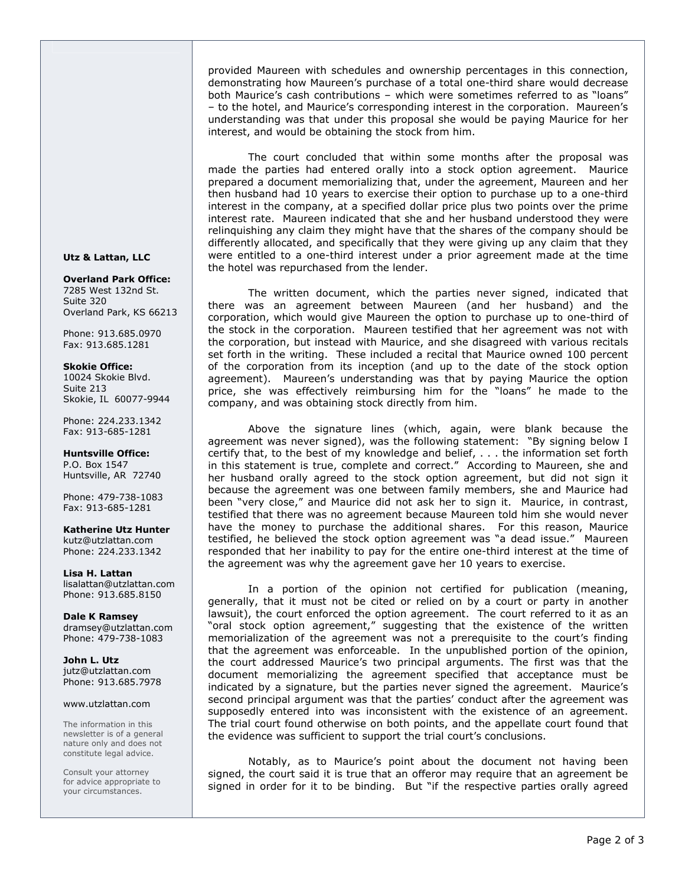provided Maureen with schedules and ownership percentages in this connection, demonstrating how Maureen's purchase of a total one-third share would decrease both Maurice's cash contributions – which were sometimes referred to as "loans" – to the hotel, and Maurice's corresponding interest in the corporation. Maureen's understanding was that under this proposal she would be paying Maurice for her interest, and would be obtaining the stock from him.

The court concluded that within some months after the proposal was made the parties had entered orally into a stock option agreement. Maurice prepared a document memorializing that, under the agreement, Maureen and her then husband had 10 years to exercise their option to purchase up to a one-third interest in the company, at a specified dollar price plus two points over the prime interest rate. Maureen indicated that she and her husband understood they were relinquishing any claim they might have that the shares of the company should be differently allocated, and specifically that they were giving up any claim that they were entitled to a one-third interest under a prior agreement made at the time the hotel was repurchased from the lender.

The written document, which the parties never signed, indicated that there was an agreement between Maureen (and her husband) and the corporation, which would give Maureen the option to purchase up to one-third of the stock in the corporation. Maureen testified that her agreement was not with the corporation, but instead with Maurice, and she disagreed with various recitals set forth in the writing. These included a recital that Maurice owned 100 percent of the corporation from its inception (and up to the date of the stock option agreement). Maureen's understanding was that by paying Maurice the option price, she was effectively reimbursing him for the "loans" he made to the company, and was obtaining stock directly from him.

Above the signature lines (which, again, were blank because the agreement was never signed), was the following statement: "By signing below I certify that, to the best of my knowledge and belief, . . . the information set forth in this statement is true, complete and correct." According to Maureen, she and her husband orally agreed to the stock option agreement, but did not sign it because the agreement was one between family members, she and Maurice had been "very close," and Maurice did not ask her to sign it. Maurice, in contrast, testified that there was no agreement because Maureen told him she would never have the money to purchase the additional shares. For this reason, Maurice testified, he believed the stock option agreement was "a dead issue." Maureen responded that her inability to pay for the entire one-third interest at the time of the agreement was why the agreement gave her 10 years to exercise.

In a portion of the opinion not certified for publication (meaning, generally, that it must not be cited or relied on by a court or party in another lawsuit), the court enforced the option agreement. The court referred to it as an "oral stock option agreement," suggesting that the existence of the written memorialization of the agreement was not a prerequisite to the court's finding that the agreement was enforceable. In the unpublished portion of the opinion, the court addressed Maurice's two principal arguments. The first was that the document memorializing the agreement specified that acceptance must be indicated by a signature, but the parties never signed the agreement. Maurice's second principal argument was that the parties' conduct after the agreement was supposedly entered into was inconsistent with the existence of an agreement. The trial court found otherwise on both points, and the appellate court found that the evidence was sufficient to support the trial court's conclusions.

Notably, as to Maurice's point about the document not having been signed, the court said it is true that an offeror may require that an agreement be signed in order for it to be binding. But "if the respective parties orally agreed

Utz & Lattan, LLC

# Overland Park Office:

7285 West 132nd St. Suite 320 Overland Park, KS 66213

Phone: 913.685.0970 Fax: 913.685.1281

### Skokie Office:

10024 Skokie Blvd. Suite 213 Skokie, IL 60077-9944

Phone: 224.233.1342 Fax: 913-685-1281

Huntsville Office: P.O. Box 1547 Huntsville, AR 72740

Phone: 479-738-1083 Fax: 913-685-1281

Katherine Utz Hunter kutz@utzlattan.com Phone: 224.233.1342

Lisa H. Lattan lisalattan@utzlattan.com Phone: 913.685.8150

Dale K Ramsey dramsey@utzlattan.com Phone: 479-738-1083

John L. Utz jutz@utzlattan.com Phone: 913.685.7978

## www.utzlattan.com

The information in this newsletter is of a general nature only and does not constitute legal advice.

Consult your attorney for advice appropriate to your circumstances.